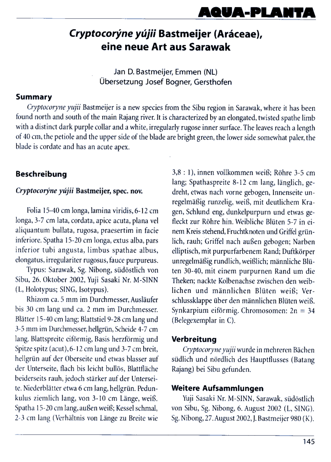# AQUA-PLA

# Cryptocorýne yújii Bastmeijer (Aráceae), eine neue Art aus Sarawak

Jan D. Bastmeijer, Emmen (NL) Übersetzung Josef Bogner, Gersthofen

### **Summary**

Cryptocoryne yujii Bastmeijer is a new species from the Sibu region in Sarawak, where it has been found north and south of the main Rajang river. It is characterized by an elongated, twisted spathe limb with a distinct dark purple collar and a white, irregularly rugose inner surface. The leaves reach a length of 40 cm, the petiole and the upper side of the blade are bright green, the lower side somewhat paler, the blade is cordate and has an acute apex.

## **Beschreibung**

### Cryptocorýne yújii Bastmeijer, spec. nov.

Folia 15-40 cm longa, lamina viridis, 6-12 cm longa, 3-7 cm lata, cordata, apice acuta, plana vel aliquantum bullata, rugosa, praesertim in facie inferiore. Spatha 15-20 cm longa, extus alba, pars inferior tubi angusta, limbus spathae albus, elongatus, irregulariter rugosus, fauce purpureus.

Typus: Sarawak, Sg. Nibong, südöstlich von Sibu, 26. Oktober 2002, Yuji Sasaki Nr. M-SINN (L, Holotypus; SING, Isotypus).

Rhizom ca. 5 mm im Durchmesser, Ausläufer bis 30 cm lang und ca. 2 mm im Durchmesser. Blätter 15-40 cm lang; Blattstiel 9-28 cm lang und 3-5 mm im Durchmesser, hellgrün, Scheide 4-7 cm lang. Blattspreite eiförmig, Basis herzförmig und Spitze spitz (acut), 6-12 cm lang und 3-7 cm breit, hellgrün auf der Oberseite und etwas blasser auf der Unterseite, flach bis leicht bullös, Blattfläche beiderseits rauh, jedoch stärker auf der Unterseite. Niederblätter etwa 6 cm lang, hellgrün. Pedunkulus ziemlich lang, von 3-10 cm Länge, weiß. Spatha 15-20 cm lang, außen weiß; Kessel schmal, 2-3 cm lang (Verhältnis von Länge zu Breite wie

3,8 : 1), innen vollkommen weiß; Röhre 3-5 cm lang; Spathaspreite 8-12 cm lang, länglich, gedreht, etwas nach vorne gebogen, Innenseite unregelmäßig runzelig, weiß, mit deutlichem Kragen, Schlund eng, dunkelpurpurn und etwas gefleckt zur Röhre hin. Weibliche Blüten 5-7 in einem Kreis stehend, Fruchtknoten und Griffel grünlich, rauh; Griffel nach außen gebogen; Narben elliptisch, mit purpurfarbenem Rand; Duftkörper unregelmäßig rundlich, weißlich; männliche Blüten 30-40, mit einem purpurnen Rand um die Theken; nackte Kolbenachse zwischen den weiblichen und männlichen Blüten weiß; Verschlussklappe über den männlichen Blüten weiß. Synkarpium eiförmig. Chromosomen:  $2n = 34$ (Belegexemplar in C).

## Verbreitung

Cryptocoryne yujii wurde in mehreren Bächen südlich und nördlich des Hauptflusses (Batang Rajang) bei Sibu gefunden.

# Weitere Aufsammlungen

Yuji Sasaki Nr. M-SINN, Sarawak, südöstlich von Sibu, Sg. Nibong, 6. August 2002 (L, SING). Sg. Nibong, 27. August 2002, J. Bastmeijer 980 (K).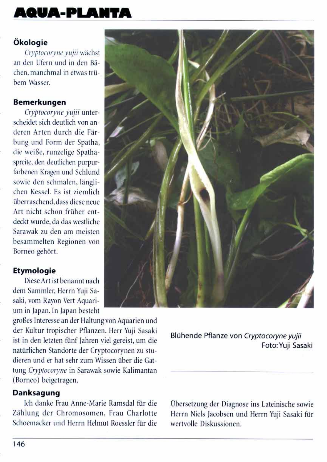# AQUA-PLANTA

# Ökologie

Cryptocoryne yujii wächst an den Ufern und in den Bächen, manchmal in etwas trübem Wasser.

### **Bemerkungen**

Cryptocoryne yujii unterscheidet sich deutlich von anderen Arten durch die Färbung und Form der Spatha, die weiße, runzelige Spathaspreite, den deutlichen purpurfarbenen Kragen und Schlund sowie den schmalen, länglichen Kessel. Es ist ziemlich überraschend, dass diese neue Art nicht schon früher entdeckt wurde, da das westliche Sarawak zu den am meisten besammelten Regionen von Borneo gehört.

### **Etymologie**

Diese Art ist benannt nach dem Sammler, Herrn Yuji Sasaki, vom Rayon Vert Aquarium in Japan. In Japan besteht

großes Interesse an der Haltung von Aquarien und der Kultur tropischer Pflanzen. Herr Yuji Sasaki ist in den letzten fünf Jahren viel gereist, um die





natürlichen Standorte der Cryptocorynen zu studieren und er hat sehr zum Wissen über die Gattung Cryptocoryne in Sarawak sowie Kalimantan (Borneo) beigetragen.

# Danksagung

Ich danke Frau Anne-Marie Ramsdal für die Zählung der Chromosomen, Frau Charlotte Schoemacker und Herrn Helmut Roessler für die Übersetzung der Diagnose ins Lateinische sowie Herrn Niels Jacobsen und Herrn Yuji Sasaki für wertvolle Diskussionen.

146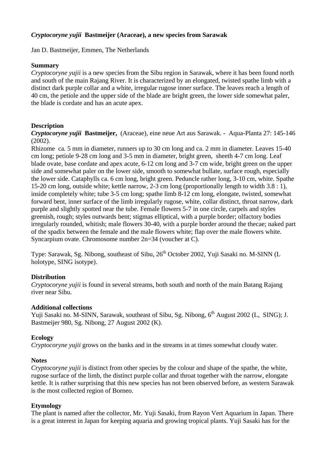### *Cryptocoryne yujii* **Bastmeijer (Araceae), a new species from Sarawak**

Jan D. Bastmeijer, Emmen, The Netherlands

### **Summary**

*Cryptocoryne yujii* is a new species from the Sibu region in Sarawak, where it has been found north and south of the main Rajang River. It is characterized by an elongated, twisted spathe limb with a distinct dark purple collar and a white, irregular rugose inner surface. The leaves reach a length of 40 cm, the petiole and the upper side of the blade are bright green, the lower side somewhat paler, the blade is cordate and has an acute apex.

### **Description**

*Cryptocoryne yujii* **Bastmeijer,** (Araceae), eine neue Art aus Sarawak. - Aqua-Planta 27: 145-146 (2002).

Rhizome ca. 5 mm in diameter, runners up to 30 cm long and ca. 2 mm in diameter. Leaves 15-40 cm long; petiole 9-28 cm long and 3-5 mm in diameter, bright green, sheeth 4-7 cm long. Leaf blade ovate, base cordate and apex acute, 6-12 cm long and 3-7 cm wide, bright green on the upper side and somewhat paler on the lower side, smooth to somewhat bullate, surface rough, especially the lower side. Cataphylls ca. 6 cm long, bright green. Peduncle rather long, 3-10 cm, white. Spathe 15-20 cm long, outside white; kettle narrow, 2-3 cm long (proportionally length to width 3.8 : 1), inside completely white; tube 3-5 cm long; spathe limb 8-12 cm long, elongate, twisted, somewhat forward bent, inner surface of the limb irregularly rugose, white, collar distinct, throat narrow, dark purple and slightly spotted near the tube. Female flowers 5-7 in one circle, carpels and styles greenish, rough; styles outwards bent; stigmas elliptical, with a purple border; olfactory bodies irregularly rounded, whitish; male flowers 30-40, with a purple border around the thecae; naked part of the spadix between the female and the male flowers white; flap over the male flowers white. Syncarpium ovate. Chromosome number 2n=34 (voucher at C).

Type: Sarawak, Sg. Nibong, southeast of Sibu, 26<sup>th</sup> October 2002, Yuji Sasaki no. M-SINN (L holotype, SING isotype).

### **Distribution**

*Cryptocoryne yujii* is found in several streams, both south and north of the main Batang Rajang river near Sibu.

#### **Additional collections**

Yuji Sasaki no. M-SINN, Sarawak, southeast of Sibu, Sg. Nibong, 6<sup>th</sup> August 2002 (L, SING); J. Bastmeijer 980, Sg. Nibong, 27 August 2002 (K).

### **Ecology**

*Cryptocoryne yujii* grows on the banks and in the streams in at times somewhat cloudy water.

### **Notes**

*Cryptocoryne yujii* is distinct from other species by the colour and shape of the spathe, the white, rugose surface of the limb, the distinct purple collar and throat together with the narrow, elongate kettle. It is rather surprising that this new species has not been observed before, as western Sarawak is the most collected region of Borneo.

### **Etymology**

The plant is named after the collector, Mr. Yuji Sasaki, from Rayon Vert Aquarium in Japan. There is a great interest in Japan for keeping aquaria and growing tropical plants. Yuji Sasaki has for the